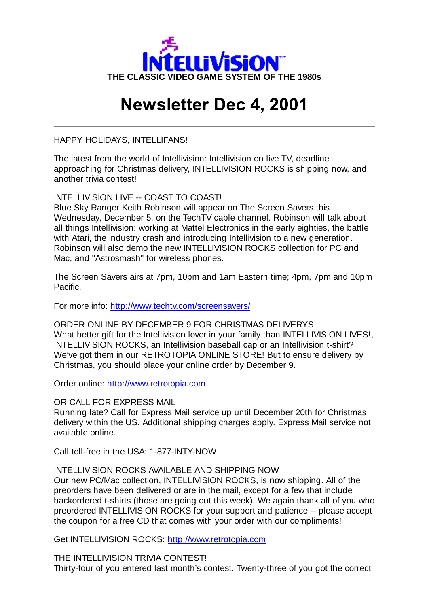

## **Newsletter Dec 4, 2001**

HAPPY HOLIDAYS, INTELLIFANS!

The latest from the world of Intellivision: Intellivision on live TV, deadline approaching for Christmas delivery, INTELLIVISION ROCKS is shipping now, and another trivia contest!

INTELLIVISION LIVE -- COAST TO COAST!

Blue Sky Ranger Keith Robinson will appear on The Screen Savers this Wednesday, December 5, on the TechTV cable channel. Robinson will talk about all things Intellivision: working at Mattel Electronics in the early eighties, the battle with Atari, the industry crash and introducing Intellivision to a new generation. Robinson will also demo the new INTELLIVISION ROCKS collection for PC and Mac, and "Astrosmash" for wireless phones.

The Screen Savers airs at 7pm, 10pm and 1am Eastern time; 4pm, 7pm and 10pm Pacific.

For more info: http://www.techtv.com/screensavers/

ORDER ONLINE BY DECEMBER 9 FOR CHRISTMAS DELIVERYS What better gift for the Intellivision lover in your family than INTELLIVISION LIVES!, INTELLIVISION ROCKS, an Intellivision baseball cap or an Intellivision t-shirt? We've got them in our RETROTOPIA ONLINE STORE! But to ensure delivery by Christmas, you should place your online order by December 9.

Order online: http://www.retrotopia.com

OR CALL FOR EXPRESS MAIL

Running late? Call for Express Mail service up until December 20th for Christmas delivery within the US. Additional shipping charges apply. Express Mail service not available online.

Call toll-free in the USA: 1-877-INTY-NOW

## INTELLIVISION ROCKS AVAILABLE AND SHIPPING NOW

Our new PC/Mac collection, INTELLIVISION ROCKS, is now shipping. All of the preorders have been delivered or are in the mail, except for a few that include backordered t-shirts (those are going out this week). We again thank all of you who preordered INTELLIVISION ROCKS for your support and patience -- please accept the coupon for a free CD that comes with your order with our compliments!

Get INTELLIVISION ROCKS: http://www.retrotopia.com

THE INTELLIVISION TRIVIA CONTEST! Thirty-four of you entered last month's contest. Twenty-three of you got the correct